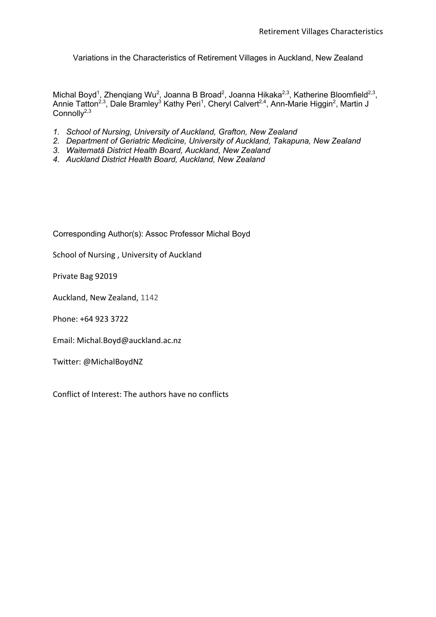Variations in the Characteristics of Retirement Villages in Auckland, New Zealand

Michal Boyd<sup>1</sup>, Zhenqiang Wu<sup>2</sup>, Joanna B Broad<sup>2</sup>, Joanna Hikaka<sup>2,3</sup>, Katherine Bloomfield<sup>2,3</sup>, Annie Tatton<sup>2,3</sup>, Dale Bramley<sup>3</sup> Kathy Peri<sup>1</sup>, Cheryl Calvert<sup>2,4</sup>, Ann-Marie Higgin<sup>2</sup>, Martin J  $Connol <sup>2,3</sup>$ 

- *1. School of Nursing, University of Auckland, Grafton, New Zealand*
- *2. Department of Geriatric Medicine, University of Auckland, Takapuna, New Zealand*
- *3. Waitematā District Health Board, Auckland, New Zealand*
- *4. Auckland District Health Board, Auckland, New Zealand*

Corresponding Author(s): Assoc Professor Michal Boyd

School of Nursing , University of Auckland

Private Bag 92019

Auckland, New Zealand, 1142

Phone: +64 923 3722

Email: Michal.Boyd@auckland.ac.nz

Twitter: @MichalBoydNZ

Conflict of Interest: The authors have no conflicts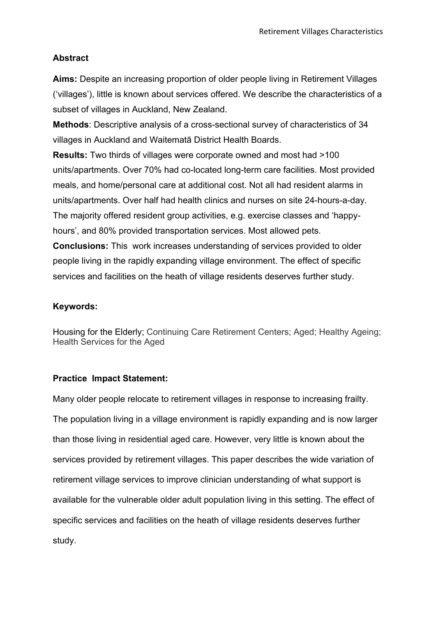## **Abstract**

**Aims:** Despite an increasing proportion of older people living in Retirement Villages ('villages'), little is known about services offered. We describe the characteristics of a subset of villages in Auckland, New Zealand.

**Methods**: Descriptive analysis of a cross-sectional survey of characteristics of 34 villages in Auckland and Waitematā District Health Boards.

**Results:** Two thirds of villages were corporate owned and most had >100 units/apartments. Over 70% had co-located long-term care facilities. Most provided meals, and home/personal care at additional cost. Not all had resident alarms in units/apartments. Over half had health clinics and nurses on site 24-hours-a-day. The majority offered resident group activities, e.g. exercise classes and 'happyhours', and 80% provided transportation services. Most allowed pets.

**Conclusions:** This work increases understanding of services provided to older people living in the rapidly expanding village environment. The effect of specific services and facilities on the heath of village residents deserves further study.

### **Keywords:**

Housing for the Elderly; Continuing Care Retirement Centers; Aged; Healthy Ageing; Health Services for the Aged

### **Practice Impact Statement:**

Many older people relocate to retirement villages in response to increasing frailty. The population living in a village environment is rapidly expanding and is now larger than those living in residential aged care. However, very little is known about the services provided by retirement villages. This paper describes the wide variation of retirement village services to improve clinician understanding of what support is available for the vulnerable older adult population living in this setting. The effect of specific services and facilities on the heath of village residents deserves further study.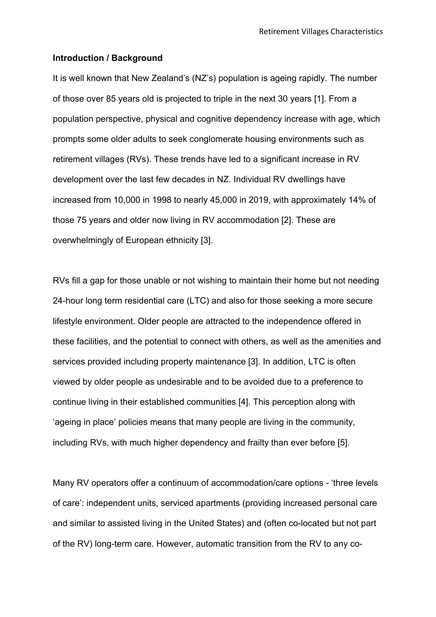#### **Introduction / Background**

It is well known that New Zealand's (NZ's) population is ageing rapidly. The number of those over 85 years old is projected to triple in the next 30 years [1]. From a population perspective, physical and cognitive dependency increase with age, which prompts some older adults to seek conglomerate housing environments such as retirement villages (RVs). These trends have led to a significant increase in RV development over the last few decades in NZ. Individual RV dwellings have increased from 10,000 in 1998 to nearly 45,000 in 2019, with approximately 14% of those 75 years and older now living in RV accommodation [2]. These are overwhelmingly of European ethnicity [3].

RVs fill a gap for those unable or not wishing to maintain their home but not needing 24-hour long term residential care (LTC) and also for those seeking a more secure lifestyle environment. Older people are attracted to the independence offered in these facilities, and the potential to connect with others, as well as the amenities and services provided including property maintenance [3]. In addition, LTC is often viewed by older people as undesirable and to be avoided due to a preference to continue living in their established communities [4]. This perception along with 'ageing in place' policies means that many people are living in the community, including RVs, with much higher dependency and frailty than ever before [5].

Many RV operators offer a continuum of accommodation/care options - 'three levels of care': independent units, serviced apartments (providing increased personal care and similar to assisted living in the United States) and (often co-located but not part of the RV) long-term care. However, automatic transition from the RV to any co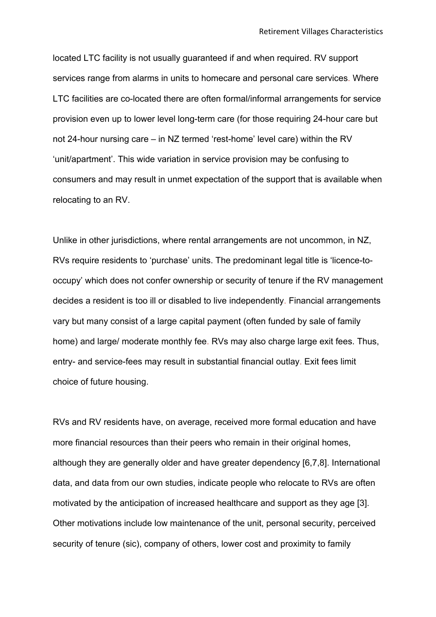located LTC facility is not usually guaranteed if and when required. RV support services range from alarms in units to homecare and personal care services. Where LTC facilities are co-located there are often formal/informal arrangements for service provision even up to lower level long-term care (for those requiring 24-hour care but not 24-hour nursing care – in NZ termed 'rest-home' level care) within the RV 'unit/apartment'. This wide variation in service provision may be confusing to consumers and may result in unmet expectation of the support that is available when relocating to an RV.

Unlike in other jurisdictions, where rental arrangements are not uncommon, in NZ, RVs require residents to 'purchase' units. The predominant legal title is 'licence-tooccupy' which does not confer ownership or security of tenure if the RV management decides a resident is too ill or disabled to live independently. Financial arrangements vary but many consist of a large capital payment (often funded by sale of family home) and large/ moderate monthly fee. RVs may also charge large exit fees. Thus, entry- and service-fees may result in substantial financial outlay. Exit fees limit choice of future housing.

RVs and RV residents have, on average, received more formal education and have more financial resources than their peers who remain in their original homes, although they are generally older and have greater dependency [6,7,8]. International data, and data from our own studies, indicate people who relocate to RVs are often motivated by the anticipation of increased healthcare and support as they age [3]. Other motivations include low maintenance of the unit, personal security, perceived security of tenure (sic), company of others, lower cost and proximity to family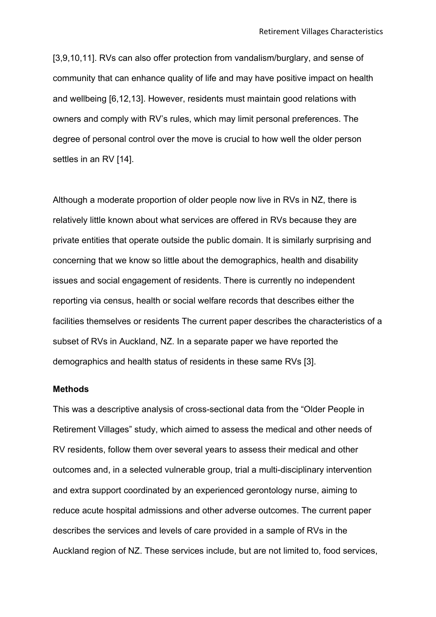[3,9,10,11]. RVs can also offer protection from vandalism/burglary, and sense of community that can enhance quality of life and may have positive impact on health and wellbeing [6,12,13]. However, residents must maintain good relations with owners and comply with RV's rules, which may limit personal preferences. The degree of personal control over the move is crucial to how well the older person settles in an RV [14].

Although a moderate proportion of older people now live in RVs in NZ, there is relatively little known about what services are offered in RVs because they are private entities that operate outside the public domain. It is similarly surprising and concerning that we know so little about the demographics, health and disability issues and social engagement of residents. There is currently no independent reporting via census, health or social welfare records that describes either the facilities themselves or residents The current paper describes the characteristics of a subset of RVs in Auckland, NZ. In a separate paper we have reported the demographics and health status of residents in these same RVs [3].

#### **Methods**

This was a descriptive analysis of cross-sectional data from the "Older People in Retirement Villages" study, which aimed to assess the medical and other needs of RV residents, follow them over several years to assess their medical and other outcomes and, in a selected vulnerable group, trial a multi-disciplinary intervention and extra support coordinated by an experienced gerontology nurse, aiming to reduce acute hospital admissions and other adverse outcomes. The current paper describes the services and levels of care provided in a sample of RVs in the Auckland region of NZ. These services include, but are not limited to, food services,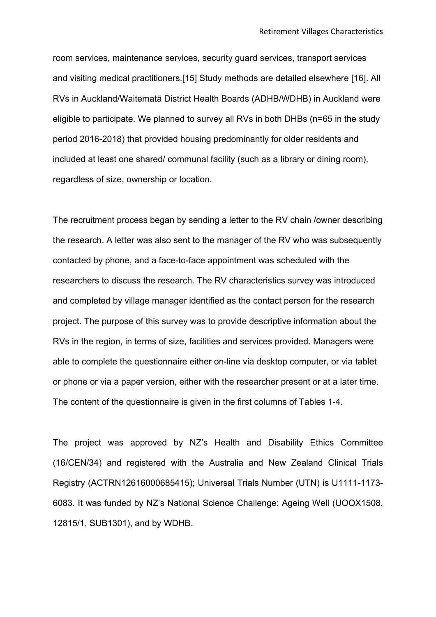room services, maintenance services, security guard services, transport services and visiting medical practitioners.[15] Study methods are detailed elsewhere [16]. All RVs in Auckland/Waitematā District Health Boards (ADHB/WDHB) in Auckland were eligible to participate. We planned to survey all RVs in both DHBs (n=65 in the study period 2016-2018) that provided housing predominantly for older residents and included at least one shared/ communal facility (such as a library or dining room), regardless of size, ownership or location.

The recruitment process began by sending a letter to the RV chain /owner describing the research. A letter was also sent to the manager of the RV who was subsequently contacted by phone, and a face-to-face appointment was scheduled with the researchers to discuss the research. The RV characteristics survey was introduced and completed by village manager identified as the contact person for the research project. The purpose of this survey was to provide descriptive information about the RVs in the region, in terms of size, facilities and services provided. Managers were able to complete the questionnaire either on-line via desktop computer, or via tablet or phone or via a paper version, either with the researcher present or at a later time. The content of the questionnaire is given in the first columns of Tables 1-4.

The project was approved by NZ's Health and Disability Ethics Committee (16/CEN/34) and registered with the Australia and New Zealand Clinical Trials Registry (ACTRN12616000685415); Universal Trials Number (UTN) is U1111-1173- 6083. It was funded by NZ's National Science Challenge: Ageing Well (UOOX1508, 12815/1, SUB1301), and by WDHB.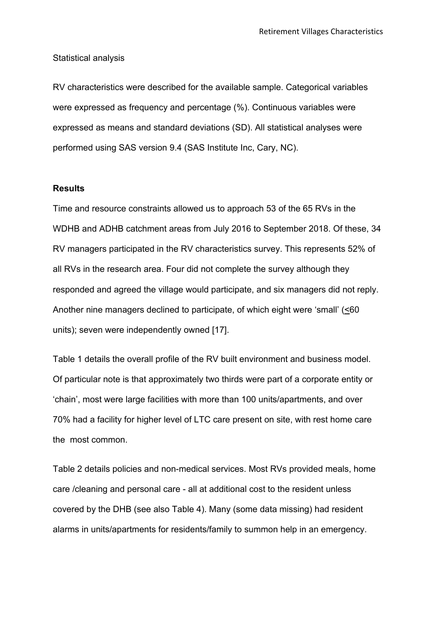#### Statistical analysis

RV characteristics were described for the available sample. Categorical variables were expressed as frequency and percentage (%). Continuous variables were expressed as means and standard deviations (SD). All statistical analyses were performed using SAS version 9.4 (SAS Institute Inc, Cary, NC).

#### **Results**

Time and resource constraints allowed us to approach 53 of the 65 RVs in the WDHB and ADHB catchment areas from July 2016 to September 2018. Of these, 34 RV managers participated in the RV characteristics survey. This represents 52% of all RVs in the research area. Four did not complete the survey although they responded and agreed the village would participate, and six managers did not reply. Another nine managers declined to participate, of which eight were 'small' (<60 units); seven were independently owned [17].

Table 1 details the overall profile of the RV built environment and business model. Of particular note is that approximately two thirds were part of a corporate entity or 'chain', most were large facilities with more than 100 units/apartments, and over 70% had a facility for higher level of LTC care present on site, with rest home care the most common.

Table 2 details policies and non-medical services. Most RVs provided meals, home care /cleaning and personal care - all at additional cost to the resident unless covered by the DHB (see also Table 4). Many (some data missing) had resident alarms in units/apartments for residents/family to summon help in an emergency.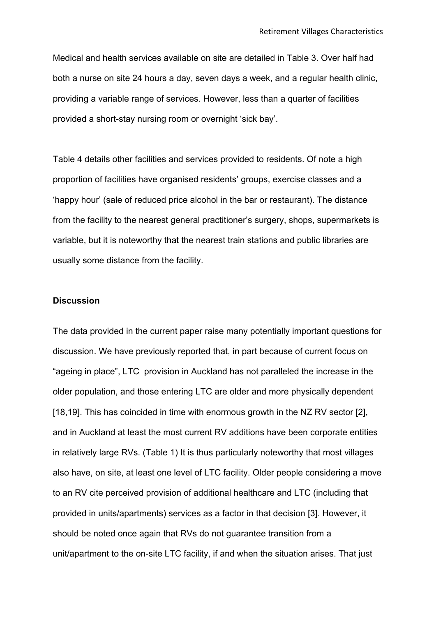Medical and health services available on site are detailed in Table 3. Over half had both a nurse on site 24 hours a day, seven days a week, and a regular health clinic, providing a variable range of services. However, less than a quarter of facilities provided a short-stay nursing room or overnight 'sick bay'.

Table 4 details other facilities and services provided to residents. Of note a high proportion of facilities have organised residents' groups, exercise classes and a 'happy hour' (sale of reduced price alcohol in the bar or restaurant). The distance from the facility to the nearest general practitioner's surgery, shops, supermarkets is variable, but it is noteworthy that the nearest train stations and public libraries are usually some distance from the facility.

#### **Discussion**

The data provided in the current paper raise many potentially important questions for discussion. We have previously reported that, in part because of current focus on "ageing in place", LTC provision in Auckland has not paralleled the increase in the older population, and those entering LTC are older and more physically dependent [18,19]. This has coincided in time with enormous growth in the NZ RV sector [2], and in Auckland at least the most current RV additions have been corporate entities in relatively large RVs. (Table 1) It is thus particularly noteworthy that most villages also have, on site, at least one level of LTC facility. Older people considering a move to an RV cite perceived provision of additional healthcare and LTC (including that provided in units/apartments) services as a factor in that decision [3]. However, it should be noted once again that RVs do not guarantee transition from a unit/apartment to the on-site LTC facility, if and when the situation arises. That just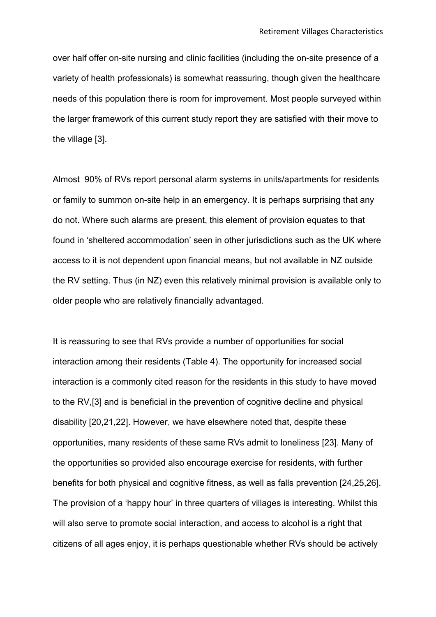over half offer on-site nursing and clinic facilities (including the on-site presence of a variety of health professionals) is somewhat reassuring, though given the healthcare needs of this population there is room for improvement. Most people surveyed within the larger framework of this current study report they are satisfied with their move to the village [3].

Almost 90% of RVs report personal alarm systems in units/apartments for residents or family to summon on-site help in an emergency. It is perhaps surprising that any do not. Where such alarms are present, this element of provision equates to that found in 'sheltered accommodation' seen in other jurisdictions such as the UK where access to it is not dependent upon financial means, but not available in NZ outside the RV setting. Thus (in NZ) even this relatively minimal provision is available only to older people who are relatively financially advantaged.

It is reassuring to see that RVs provide a number of opportunities for social interaction among their residents (Table 4). The opportunity for increased social interaction is a commonly cited reason for the residents in this study to have moved to the RV,[3] and is beneficial in the prevention of cognitive decline and physical disability [20,21,22]. However, we have elsewhere noted that, despite these opportunities, many residents of these same RVs admit to loneliness [23]. Many of the opportunities so provided also encourage exercise for residents, with further benefits for both physical and cognitive fitness, as well as falls prevention [24,25,26]. The provision of a 'happy hour' in three quarters of villages is interesting. Whilst this will also serve to promote social interaction, and access to alcohol is a right that citizens of all ages enjoy, it is perhaps questionable whether RVs should be actively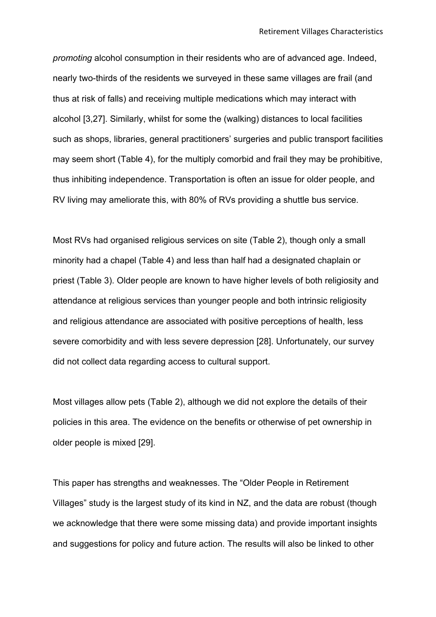*promoting* alcohol consumption in their residents who are of advanced age. Indeed, nearly two-thirds of the residents we surveyed in these same villages are frail (and thus at risk of falls) and receiving multiple medications which may interact with alcohol [3,27]. Similarly, whilst for some the (walking) distances to local facilities such as shops, libraries, general practitioners' surgeries and public transport facilities may seem short (Table 4), for the multiply comorbid and frail they may be prohibitive, thus inhibiting independence. Transportation is often an issue for older people, and RV living may ameliorate this, with 80% of RVs providing a shuttle bus service.

Most RVs had organised religious services on site (Table 2), though only a small minority had a chapel (Table 4) and less than half had a designated chaplain or priest (Table 3). Older people are known to have higher levels of both religiosity and attendance at religious services than younger people and both intrinsic religiosity and religious attendance are associated with positive perceptions of health, less severe comorbidity and with less severe depression [28]. Unfortunately, our survey did not collect data regarding access to cultural support.

Most villages allow pets (Table 2), although we did not explore the details of their policies in this area. The evidence on the benefits or otherwise of pet ownership in older people is mixed [29].

This paper has strengths and weaknesses. The "Older People in Retirement Villages" study is the largest study of its kind in NZ, and the data are robust (though we acknowledge that there were some missing data) and provide important insights and suggestions for policy and future action. The results will also be linked to other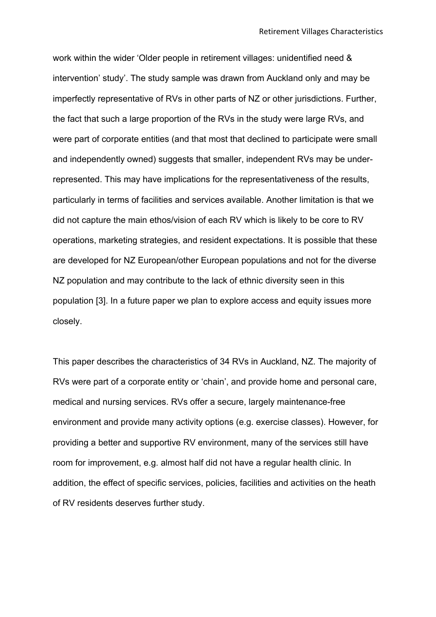work within the wider 'Older people in retirement villages: unidentified need & intervention' study'. The study sample was drawn from Auckland only and may be imperfectly representative of RVs in other parts of NZ or other jurisdictions. Further, the fact that such a large proportion of the RVs in the study were large RVs, and were part of corporate entities (and that most that declined to participate were small and independently owned) suggests that smaller, independent RVs may be underrepresented. This may have implications for the representativeness of the results, particularly in terms of facilities and services available. Another limitation is that we did not capture the main ethos/vision of each RV which is likely to be core to RV operations, marketing strategies, and resident expectations. It is possible that these are developed for NZ European/other European populations and not for the diverse NZ population and may contribute to the lack of ethnic diversity seen in this population [3]. In a future paper we plan to explore access and equity issues more closely.

This paper describes the characteristics of 34 RVs in Auckland, NZ. The majority of RVs were part of a corporate entity or 'chain', and provide home and personal care, medical and nursing services. RVs offer a secure, largely maintenance-free environment and provide many activity options (e.g. exercise classes). However, for providing a better and supportive RV environment, many of the services still have room for improvement, e.g. almost half did not have a regular health clinic. In addition, the effect of specific services, policies, facilities and activities on the heath of RV residents deserves further study.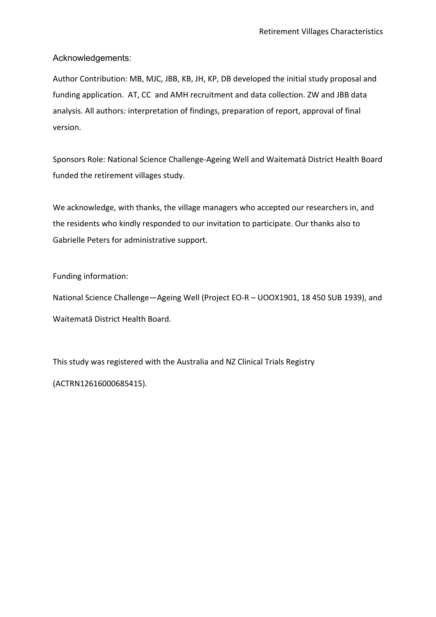Acknowledgements:

Author Contribution: MB, MJC, JBB, KB, JH, KP, DB developed the initial study proposal and funding application. AT, CC and AMH recruitment and data collection. ZW and JBB data analysis. All authors: interpretation of findings, preparation of report, approval of final version.

Sponsors Role: National Science Challenge-Ageing Well and Waitematā District Health Board funded the retirement villages study.

We acknowledge, with thanks, the village managers who accepted our researchers in, and the residents who kindly responded to our invitation to participate. Our thanks also to Gabrielle Peters for administrative support.

Funding information:

National Science Challenge—Ageing Well (Project EO-R – UOOX1901, 18 450 SUB 1939), and Waitematā District Health Board.

This study was registered with the Australia and NZ Clinical Trials Registry (ACTRN12616000685415).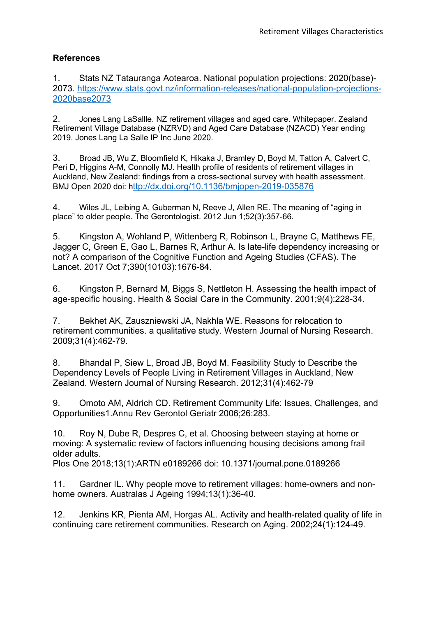### **References**

1. Stats NZ Tatauranga Aotearoa. National population projections: 2020(base)- 2073. https://www.stats.govt.nz/information-releases/national-population-projections-2020base2073

2. Jones Lang LaSallle. NZ retirement villages and aged care. Whitepaper. Zealand Retirement Village Database (NZRVD) and Aged Care Database (NZACD) Year ending 2019. Jones Lang La Salle IP Inc June 2020.

3. Broad JB, Wu Z, Bloomfield K, Hikaka J, Bramley D, Boyd M, Tatton A, Calvert C, Peri D, Higgins A-M, Connolly MJ. Health profile of residents of retirement villages in Auckland, New Zealand: findings from a cross-sectional survey with health assessment. BMJ Open 2020 doi: http://dx.doi.org/10.1136/bmjopen-2019-035876

4. Wiles JL, Leibing A, Guberman N, Reeve J, Allen RE. The meaning of "aging in place" to older people. The Gerontologist. 2012 Jun 1;52(3):357-66.

5. Kingston A, Wohland P, Wittenberg R, Robinson L, Brayne C, Matthews FE, Jagger C, Green E, Gao L, Barnes R, Arthur A. Is late-life dependency increasing or not? A comparison of the Cognitive Function and Ageing Studies (CFAS). The Lancet. 2017 Oct 7;390(10103):1676-84.

6. Kingston P, Bernard M, Biggs S, Nettleton H. Assessing the health impact of age-specific housing. Health & Social Care in the Community. 2001;9(4):228-34.

7. Bekhet AK, Zauszniewski JA, Nakhla WE. Reasons for relocation to retirement communities. a qualitative study. Western Journal of Nursing Research. 2009;31(4):462-79.

8. Bhandal P, Siew L, Broad JB, Boyd M. Feasibility Study to Describe the Dependency Levels of People Living in Retirement Villages in Auckland, New Zealand. Western Journal of Nursing Research. 2012;31(4):462-79

9. Omoto AM, Aldrich CD. Retirement Community Life: Issues, Challenges, and Opportunities1.Annu Rev Gerontol Geriatr 2006;26:283.

10. Roy N, Dube R, Despres C, et al. Choosing between staying at home or moving: A systematic review of factors influencing housing decisions among frail older adults.

Plos One 2018;13(1):ARTN e0189266 doi: 10.1371/journal.pone.0189266

11. Gardner IL. Why people move to retirement villages: home-owners and nonhome owners. Australas J Ageing 1994;13(1):36-40.

12. Jenkins KR, Pienta AM, Horgas AL. Activity and health-related quality of life in continuing care retirement communities. Research on Aging. 2002;24(1):124-49.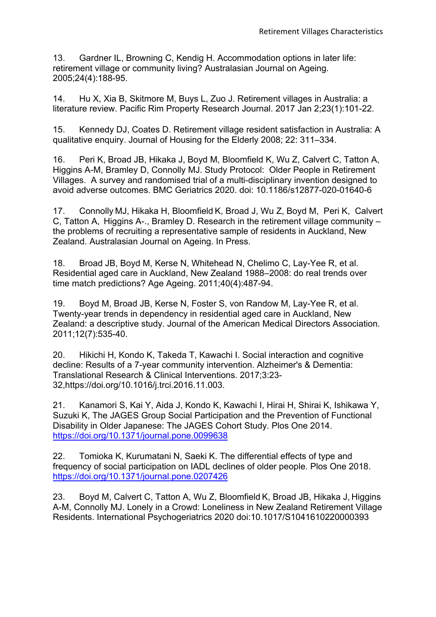13. Gardner IL, Browning C, Kendig H. Accommodation options in later life: retirement village or community living? Australasian Journal on Ageing. 2005;24(4):188-95.

14. Hu X, Xia B, Skitmore M, Buys L, Zuo J. Retirement villages in Australia: a literature review. Pacific Rim Property Research Journal. 2017 Jan 2;23(1):101-22.

15. Kennedy DJ, Coates D. Retirement village resident satisfaction in Australia: A qualitative enquiry. Journal of Housing for the Elderly 2008; 22: 311–334.

16. Peri K, Broad JB, Hikaka J, Boyd M, Bloomfield K, Wu Z, Calvert C, Tatton A, Higgins A-M, Bramley D, Connolly MJ. Study Protocol: Older People in Retirement Villages. A survey and randomised trial of a multi-disciplinary invention designed to avoid adverse outcomes. BMC Geriatrics 2020. doi: 10.1186/s12877-020-01640-6

17. Connolly MJ, Hikaka H, Bloomfield K, Broad J, Wu Z, Boyd M, Peri K, Calvert C, Tatton A, Higgins A-., Bramley D. Research in the retirement village community – the problems of recruiting a representative sample of residents in Auckland, New Zealand. Australasian Journal on Ageing. In Press.

18. Broad JB, Boyd M, Kerse N, Whitehead N, Chelimo C, Lay-Yee R, et al. Residential aged care in Auckland, New Zealand 1988–2008: do real trends over time match predictions? Age Ageing. 2011;40(4):487-94.

19. Boyd M, Broad JB, Kerse N, Foster S, von Randow M, Lay-Yee R, et al. Twenty-year trends in dependency in residential aged care in Auckland, New Zealand: a descriptive study. Journal of the American Medical Directors Association. 2011;12(7):535-40.

20. Hikichi H, Kondo K, Takeda T, Kawachi I. Social interaction and cognitive decline: Results of a 7-year community intervention. Alzheimer's & Dementia: Translational Research & Clinical Interventions. 2017;3:23- 32,https://doi.org/10.1016/j.trci.2016.11.003.

21. Kanamori S, Kai Y, Aida J, Kondo K, Kawachi I, Hirai H, Shirai K, Ishikawa Y, Suzuki K, The JAGES Group Social Participation and the Prevention of Functional Disability in Older Japanese: The JAGES Cohort Study. Plos One 2014. https://doi.org/10.1371/journal.pone.0099638

22. Tomioka K, Kurumatani N, Saeki K. The differential effects of type and frequency of social participation on IADL declines of older people. Plos One 2018. https://doi.org/10.1371/journal.pone.0207426

23. Boyd M, Calvert C, Tatton A, Wu Z, Bloomfield K, Broad JB, Hikaka J, Higgins A-M, Connolly MJ. Lonely in a Crowd: Loneliness in New Zealand Retirement Village Residents. International Psychogeriatrics 2020 doi:10.1017/S1041610220000393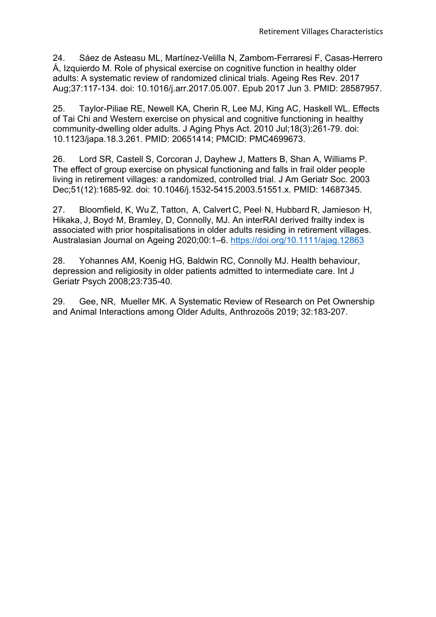24. Sáez de Asteasu ML, Martínez-Velilla N, Zambom-Ferraresi F, Casas-Herrero Á, Izquierdo M. Role of physical exercise on cognitive function in healthy older adults: A systematic review of randomized clinical trials. Ageing Res Rev. 2017 Aug;37:117-134. doi: 10.1016/j.arr.2017.05.007. Epub 2017 Jun 3. PMID: 28587957.

25. Taylor-Piliae RE, Newell KA, Cherin R, Lee MJ, King AC, Haskell WL. Effects of Tai Chi and Western exercise on physical and cognitive functioning in healthy community-dwelling older adults. J Aging Phys Act. 2010 Jul;18(3):261-79. doi: 10.1123/japa.18.3.261. PMID: 20651414; PMCID: PMC4699673.

26. Lord SR, Castell S, Corcoran J, Dayhew J, Matters B, Shan A, Williams P. The effect of group exercise on physical functioning and falls in frail older people living in retirement villages: a randomized, controlled trial. J Am Geriatr Soc. 2003 Dec;51(12):1685-92. doi: 10.1046/j.1532-5415.2003.51551.x. PMID: 14687345.

27. Bloomfield, K, Wu Z, Tatton, A, Calvert C, Peel<sup>,</sup> N, Hubbard R, Jamieson<sup>,</sup> H, Hikaka, J. Boyd<sup>,</sup> M. Bramley, D. Connolly, MJ. An interRAI derived frailty index is associated with prior hospitalisations in older adults residing in retirement villages. Australasian Journal on Ageing 2020;00:1–6. https://doi.org/10.1111/ajag.12863

28. Yohannes AM, Koenig HG, Baldwin RC, Connolly MJ. Health behaviour, depression and religiosity in older patients admitted to intermediate care. Int J Geriatr Psych 2008;23:735-40.

29. Gee, NR, Mueller MK. A Systematic Review of Research on Pet Ownership and Animal Interactions among Older Adults, Anthrozoös 2019; 32:183-207.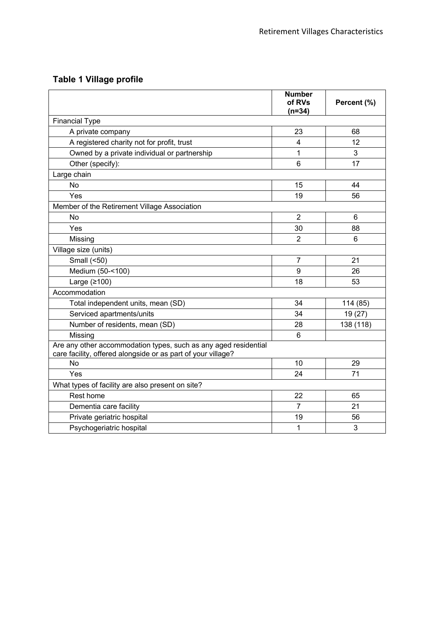# **Table 1 Village profile**

|                                                                                                                                 | <b>Number</b><br>of RVs<br>$(n=34)$ | Percent (%)    |
|---------------------------------------------------------------------------------------------------------------------------------|-------------------------------------|----------------|
| <b>Financial Type</b>                                                                                                           |                                     |                |
| A private company                                                                                                               | 23                                  | 68             |
| A registered charity not for profit, trust                                                                                      | $\overline{\mathbf{4}}$             | 12             |
| Owned by a private individual or partnership                                                                                    | 1                                   | 3              |
| Other (specify):                                                                                                                | 6                                   | 17             |
| Large chain                                                                                                                     |                                     |                |
| No                                                                                                                              | 15                                  | 44             |
| Yes                                                                                                                             | 19                                  | 56             |
| Member of the Retirement Village Association                                                                                    |                                     |                |
| No                                                                                                                              | $\overline{2}$                      | 6              |
| Yes                                                                                                                             | 30                                  | 88             |
| Missing                                                                                                                         | $\overline{2}$                      | $6\phantom{1}$ |
| Village size (units)                                                                                                            |                                     |                |
| Small (<50)                                                                                                                     | $\overline{7}$                      | 21             |
| Medium (50-<100)                                                                                                                | 9                                   | 26             |
| Large $(≥100)$                                                                                                                  | 18                                  | 53             |
| Accommodation                                                                                                                   |                                     |                |
| Total independent units, mean (SD)                                                                                              | 34                                  | 114 (85)       |
| Serviced apartments/units                                                                                                       | 34                                  | 19 (27)        |
| Number of residents, mean (SD)                                                                                                  | 28                                  | 138 (118)      |
| Missing                                                                                                                         | 6                                   |                |
| Are any other accommodation types, such as any aged residential<br>care facility, offered alongside or as part of your village? |                                     |                |
| <b>No</b>                                                                                                                       | 10                                  | 29             |
| Yes                                                                                                                             | 24                                  | 71             |
| What types of facility are also present on site?                                                                                |                                     |                |
| Rest home                                                                                                                       | 22                                  | 65             |
| Dementia care facility                                                                                                          | $\overline{7}$                      | 21             |
| Private geriatric hospital                                                                                                      | 19                                  | 56             |
| Psychogeriatric hospital                                                                                                        | $\mathbf{1}$                        | 3              |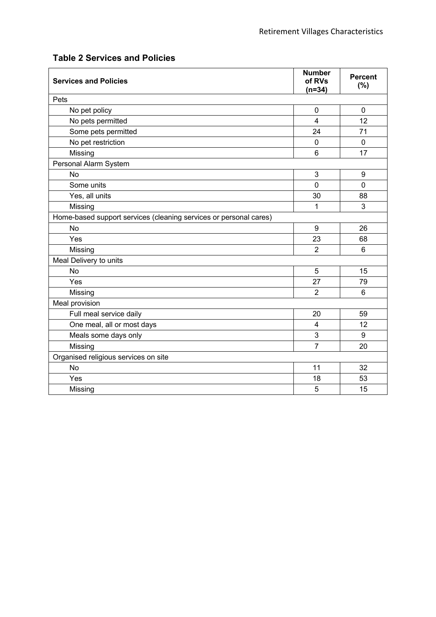| <b>Services and Policies</b>                                      | <b>Number</b><br>of RVs<br>$(n=34)$ | <b>Percent</b><br>(%) |
|-------------------------------------------------------------------|-------------------------------------|-----------------------|
| Pets                                                              |                                     |                       |
| No pet policy                                                     | 0                                   | $\Omega$              |
| No pets permitted                                                 | 4                                   | 12                    |
| Some pets permitted                                               | 24                                  | 71                    |
| No pet restriction                                                | $\overline{0}$                      | $\mathbf 0$           |
| Missing                                                           | 6                                   | 17                    |
| Personal Alarm System                                             |                                     |                       |
| <b>No</b>                                                         | 3                                   | 9                     |
| Some units                                                        | 0                                   | $\mathbf 0$           |
| Yes, all units                                                    | 30                                  | 88                    |
| Missing                                                           | 1                                   | 3                     |
| Home-based support services (cleaning services or personal cares) |                                     |                       |
| <b>No</b>                                                         | 9                                   | 26                    |
| Yes                                                               | 23                                  | 68                    |
| Missing                                                           | $\overline{2}$                      | 6                     |
| Meal Delivery to units                                            |                                     |                       |
| <b>No</b>                                                         | 5                                   | 15                    |
| Yes                                                               | 27                                  | 79                    |
| Missing                                                           | $\overline{2}$                      | 6                     |
| Meal provision                                                    |                                     |                       |
| Full meal service daily                                           | 20                                  | 59                    |
| One meal, all or most days                                        | 4                                   | 12                    |
| Meals some days only                                              | 3                                   | 9                     |
| Missing                                                           | $\overline{7}$                      | 20                    |
| Organised religious services on site                              |                                     |                       |
| <b>No</b>                                                         | 11                                  | 32                    |
| Yes                                                               | 18                                  | 53                    |
| Missing                                                           | 5                                   | 15                    |

# **Table 2 Services and Policies**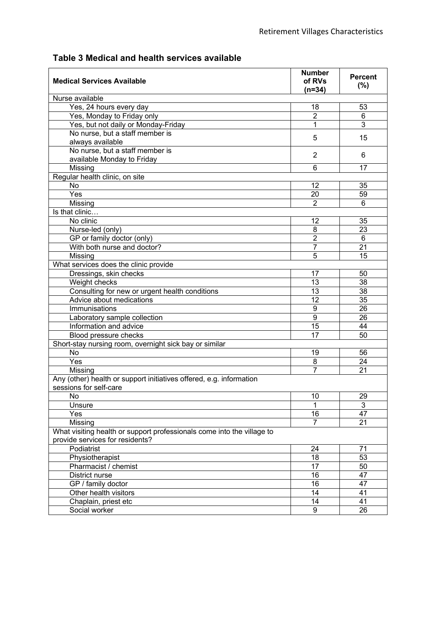| <b>Medical Services Available</b>                                                                         | <b>Number</b><br>of RVs<br>$(n=34)$ | <b>Percent</b><br>(%) |
|-----------------------------------------------------------------------------------------------------------|-------------------------------------|-----------------------|
| Nurse available                                                                                           |                                     |                       |
| Yes, 24 hours every day                                                                                   | 18                                  | 53                    |
| Yes, Monday to Friday only                                                                                | $\overline{2}$                      | 6                     |
| Yes, but not daily or Monday-Friday                                                                       | 1                                   | 3                     |
| No nurse, but a staff member is                                                                           | 5                                   | 15                    |
| always available                                                                                          |                                     |                       |
| No nurse, but a staff member is                                                                           | 2                                   | 6                     |
| available Monday to Friday                                                                                |                                     |                       |
| Missing                                                                                                   | 6                                   | 17                    |
| Regular health clinic, on site                                                                            |                                     |                       |
| <b>No</b>                                                                                                 | 12                                  | 35                    |
| Yes                                                                                                       | 20                                  | 59                    |
| Missing                                                                                                   | $\overline{2}$                      | 6                     |
| Is that clinic                                                                                            |                                     |                       |
| No clinic                                                                                                 | 12                                  | 35                    |
| Nurse-led (only)                                                                                          | 8                                   | 23                    |
| GP or family doctor (only)                                                                                | $\overline{2}$                      | 6                     |
| With both nurse and doctor?                                                                               | $\overline{7}$                      | 21                    |
| Missing                                                                                                   | 5                                   | 15                    |
| What services does the clinic provide                                                                     |                                     |                       |
| Dressings, skin checks                                                                                    | 17                                  | 50                    |
| Weight checks                                                                                             | 13                                  | 38                    |
| Consulting for new or urgent health conditions                                                            | 13                                  | 38                    |
| Advice about medications                                                                                  | $\overline{12}$                     | 35                    |
| Immunisations                                                                                             | 9                                   | 26                    |
| Laboratory sample collection                                                                              | $\overline{9}$                      | 26                    |
| Information and advice                                                                                    | 15                                  | 44                    |
| Blood pressure checks                                                                                     | 17                                  | 50                    |
| Short-stay nursing room, overnight sick bay or similar                                                    |                                     |                       |
| <b>No</b>                                                                                                 | 19                                  | 56                    |
| $\overline{Y}$ es                                                                                         | 8                                   | 24                    |
| Missing                                                                                                   | $\overline{7}$                      | 21                    |
| Any (other) health or support initiatives offered, e.g. information<br>sessions for self-care             |                                     |                       |
| No                                                                                                        | 10                                  | 29                    |
| Unsure                                                                                                    | 1                                   | 3                     |
| Yes                                                                                                       | 16                                  | 47                    |
| Missing                                                                                                   | 7                                   | 21                    |
| What visiting health or support professionals come into the village to<br>provide services for residents? |                                     |                       |
| Podiatrist                                                                                                | 24                                  | 71                    |
| Physiotherapist                                                                                           | 18                                  | 53                    |
| Pharmacist / chemist                                                                                      | 17                                  | 50                    |
| District nurse                                                                                            | 16                                  | 47                    |
| GP / family doctor                                                                                        | 16                                  | 47                    |
| Other health visitors                                                                                     | 14                                  | 41                    |
| Chaplain, priest etc                                                                                      | 14                                  | 41                    |
| Social worker                                                                                             | 9                                   | 26                    |

# **Table 3 Medical and health services available**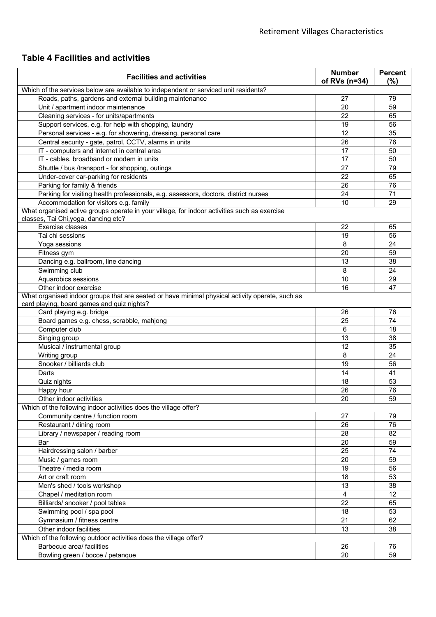# **Table 4 Facilities and activities**

| <b>Facilities and activities</b>                                                                                                     | <b>Number</b><br>of RVs (n=34) | <b>Percent</b><br>(%) |
|--------------------------------------------------------------------------------------------------------------------------------------|--------------------------------|-----------------------|
| Which of the services below are available to independent or serviced unit residents?                                                 |                                |                       |
| Roads, paths, gardens and external building maintenance                                                                              | 27                             | 79                    |
| Unit / apartment indoor maintenance                                                                                                  | 20                             | 59                    |
| Cleaning services - for units/apartments                                                                                             | 22                             | 65                    |
| Support services, e.g. for help with shopping, laundry                                                                               | 19                             | 56                    |
| Personal services - e.g. for showering, dressing, personal care                                                                      | 12                             | 35                    |
| Central security - gate, patrol, CCTV, alarms in units                                                                               | 26                             | 76                    |
| IT - computers and internet in central area                                                                                          | 17                             | 50                    |
| IT - cables, broadband or modem in units                                                                                             | 17                             | 50                    |
| Shuttle / bus /transport - for shopping, outings                                                                                     | 27                             | 79                    |
| Under-cover car-parking for residents                                                                                                | 22                             | 65                    |
| Parking for family & friends                                                                                                         | 26                             | 76                    |
| Parking for visiting health professionals, e.g. assessors, doctors, district nurses                                                  | 24                             | 71                    |
| Accommodation for visitors e.g. family                                                                                               | 10                             | 29                    |
| What organised active groups operate in your village, for indoor activities such as exercise<br>classes, Tai Chi, yoga, dancing etc? |                                |                       |
| Exercise classes                                                                                                                     | 22                             | 65                    |
| Tai chi sessions                                                                                                                     | 19                             | 56                    |
| Yoga sessions                                                                                                                        | 8                              | 24                    |
| Fitness gym                                                                                                                          | 20                             | 59                    |
| Dancing e.g. ballroom, line dancing                                                                                                  | 13                             | 38                    |
| Swimming club                                                                                                                        | 8                              | 24                    |
| Aquarobics sessions                                                                                                                  | 10                             | 29                    |
| Other indoor exercise                                                                                                                | 16                             | 47                    |
| What organised indoor groups that are seated or have minimal physical activity operate, such as                                      |                                |                       |
| card playing, board games and quiz nights?                                                                                           |                                |                       |
| Card playing e.g. bridge                                                                                                             | 26                             | 76                    |
| Board games e.g. chess, scrabble, mahjong                                                                                            | 25                             | 74                    |
| Computer club                                                                                                                        | 6                              | 18                    |
| Singing group                                                                                                                        | 13                             | 38                    |
| Musical / instrumental group                                                                                                         | 12                             | 35                    |
| Writing group                                                                                                                        | 8                              | 24                    |
| Snooker / billiards club                                                                                                             | 19                             | 56                    |
| Darts                                                                                                                                | 14                             | 41                    |
| Quiz nights                                                                                                                          | 18                             | 53                    |
| Happy hour                                                                                                                           | 26                             | 76                    |
| Other indoor activities                                                                                                              | $\overline{20}$                | 59                    |
| Which of the following indoor activities does the village offer?                                                                     |                                |                       |
| Community centre / function room                                                                                                     | 27                             | 79                    |
| Restaurant / dining room                                                                                                             | 26                             | 76                    |
| Library / newspaper / reading room                                                                                                   | 28                             | 82                    |
| <b>Bar</b>                                                                                                                           | 20                             | 59                    |
| Hairdressing salon / barber                                                                                                          | $\overline{25}$                | $\overline{74}$       |
| Music / games room                                                                                                                   | 20                             | 59                    |
| Theatre / media room                                                                                                                 | 19                             | 56                    |
| Art or craft room                                                                                                                    | 18                             | 53                    |
| Men's shed / tools workshop                                                                                                          | 13                             | 38                    |
| Chapel / meditation room                                                                                                             | $\overline{4}$                 | 12                    |
| Billiards/ snooker / pool tables                                                                                                     | 22                             | 65                    |
| Swimming pool / spa pool                                                                                                             | 18                             | 53                    |
| Gymnasium / fitness centre                                                                                                           | 21                             | 62                    |
| Other indoor facilities                                                                                                              | 13                             | 38                    |
| Which of the following outdoor activities does the village offer?                                                                    |                                |                       |
| Barbecue area/ facilities                                                                                                            | 26                             | 76                    |
| Bowling green / bocce / petanque                                                                                                     | 20                             | 59                    |